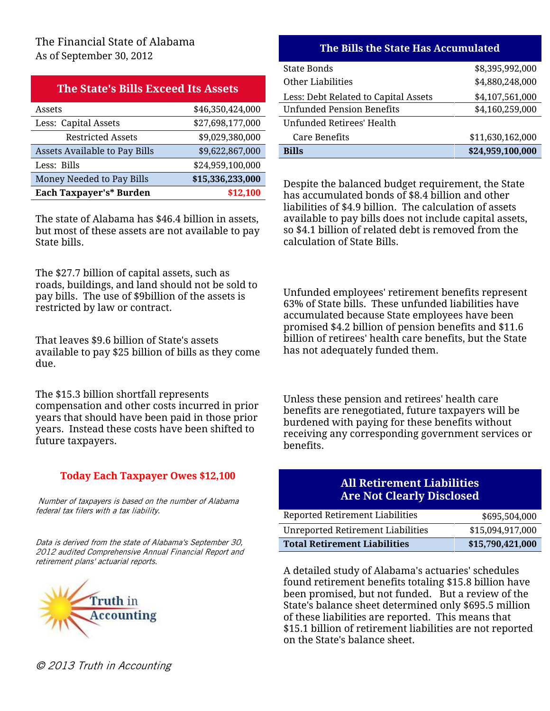|  | The State's Bills Exceed Its Assets |  |
|--|-------------------------------------|--|
|  |                                     |  |

| Each Taxpayer's* Burden       | \$12,100         | has accumulated bonds of \$8.4 b     |
|-------------------------------|------------------|--------------------------------------|
| Money Needed to Pay Bills     | \$15,336,233,000 | Despite the balanced budget requ     |
| Less: Bills                   | \$24,959,100,000 |                                      |
| Assets Available to Pay Bills | \$9,622,867,000  | <b>Bills</b>                         |
| <b>Restricted Assets</b>      | \$9,029,380,000  | Care Benefits                        |
| Less: Capital Assets          | \$27,698,177,000 | <b>Unfunded Retirees' Health</b>     |
| Assets                        | \$46,350,424,000 | <b>Unfunded Pension Benefits</b>     |
|                               |                  | Less. Debi Related to Capital Assets |

The state of Alabama has \$46.4 billion in assets, but most of these assets are not available to pay State bills.

The \$27.7 billion of capital assets, such as roads, buildings, and land should not be sold to pay bills. The use of \$9billion of the assets is restricted by law or contract.

That leaves \$9.6 billion of State's assets available to pay \$25 billion of bills as they come due.

The \$15.3 billion shortfall represents compensation and other costs incurred in prior years that should have been paid in those prior years. Instead these costs have been shifted to future taxpayers.

## **Today Each Taxpayer Owes \$12,100 All Retirement Liabilities**

**Are Not Clearly Disclosed** *Number of taxpayers is based on the number of Alabama federal tax filers with a tax liability.* 

*Data is derived from the state of Alabama's September 30, 2012 audited Comprehensive Annual Financial Report and retirement plans' actuarial reports.*



| $1100 - 1000$ $P(01110001 - 0000) = 0110$ |                  |                                      |                  |
|-------------------------------------------|------------------|--------------------------------------|------------------|
|                                           |                  | State Bonds                          | \$8,395,992,000  |
| The State's Bills Exceed Its Assets       |                  | Other Liabilities                    | \$4,880,248,000  |
|                                           |                  | Less: Debt Related to Capital Assets | \$4,107,561,000  |
| Assets                                    | \$46,350,424,000 | <b>Unfunded Pension Benefits</b>     | \$4,160,259,000  |
| Less: Capital Assets                      | \$27,698,177,000 | Unfunded Retirees' Health            |                  |
| <b>Restricted Assets</b>                  | \$9,029,380,000  | Care Benefits                        | \$11,630,162,000 |
| Assets Available to Pay Bills             | \$9,622,867,000  | <b>Bills</b>                         | \$24,959,100,000 |
|                                           |                  |                                      |                  |

Despite the balanced budget requirement, the State has accumulated bonds of \$8.4 billion and other liabilities of \$4.9 billion. The calculation of assets available to pay bills does not include capital assets, so \$4.1 billion of related debt is removed from the calculation of State Bills.

Unfunded employees' retirement benefits represent 63% of State bills. These unfunded liabilities have accumulated because State employees have been promised \$4.2 billion of pension benefits and \$11.6 billion of retirees' health care benefits, but the State has not adequately funded them.

Unless these pension and retirees' health care benefits are renegotiated, future taxpayers will be burdened with paying for these benefits without receiving any corresponding government services or benefits.

| Reported Retirement Liabilities     | \$695,504,000    |
|-------------------------------------|------------------|
| Unreported Retirement Liabilities   | \$15,094,917,000 |
| <b>Total Retirement Liabilities</b> | \$15,790,421,000 |

A detailed study of Alabama's actuaries' schedules found retirement benefits totaling \$15.8 billion have been promised, but not funded. But a review of the State's balance sheet determined only \$695.5 million of these liabilities are reported. This means that \$15.1 billion of retirement liabilities are not reported on the State's balance sheet.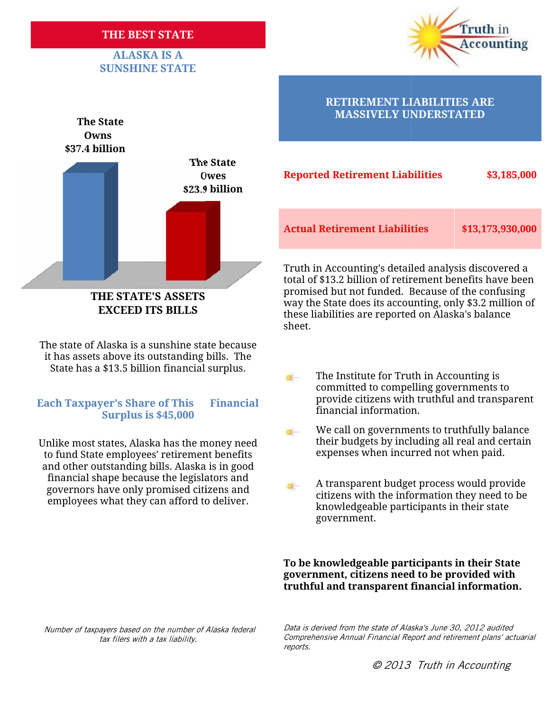### **THE BEST STATE**

## **ALASKA IS A SUNSHINE STATE**





**THE STATE'S ASSETS EXCEED ITS BILLS**

The state of Alaska is a sunshine state because it has assets above its outstanding bills. The ssets above its outstanding bills. The<br>has a \$13.5 billion financial surplus.

### financial information. **Each Taxpayer's Share of This Financial Surplus is \$45,000**

Unlike most states, Alaska has the money need to fund State employees' retirement benefits and other outstanding bills. Alaska is in good nd other outstanding bills. Alaska is in good<br>financial shape because the legislators and governors have only promised citizens and employees what they can afford to deliver.

## **RETIREMENT LIABILITIES ARE**

| າe State<br><b>Owes</b><br>.9 billion | <b>Reported Retirement Liabilities</b> | \$3,185,000      |  |
|---------------------------------------|----------------------------------------|------------------|--|
|                                       | <b>Actual Retirement Liabilities</b>   | \$13,173,930,000 |  |

Truth in Accounting's detailed analysis discovered a Accounting's detailed total of \$13.2 billion of retirement benefits have been promised but not funded. Because of the confusing way the State does its accounting, only \$3.2 million of these liabilities are reported on Alaska's balance sheet. **STATE'S ASSETS**<br>CEED ITS BILLS<br>CEED ITS BILLS<br>SEED ITS BILLS<br>Sheet.<br>Sheet.

- State has a \$13.5 billion financial surplus. The Institute for Truth in Accounting is committed to compelling governments to provide citizens with truthful and transparent
	- We call on governments to truthfully balance We call on governments to truthfully balance<br>their budgets by including all real and certair<br>expenses when incurred not when paid.  $\left| \frac{1}{2} \right|$ their budgets by including all real and certain expenses when incurred not when paid.
- A transparent budget process would provide mancial shape because the registators and<br>governors have only promised citizens and<br>employees what they can afford to deliver. knowledgeable participants in their state government.

### **To be knowledgeable participants in their State government, citizens need to be provided with** To be knowledgeable participants in their State<br>government, citizens need to be provided with<br>truthful and transparent financial information.

*Number of taxpayers based on the number of Alaska federal on tax filers with a tax liability.*

*Data is derived from the state of Alaska's June 30, 2012 audited* on the number of Alaska federal Data is derived from the state of Alaska's June 30, 2012 audited<br>Comprehensive Annual Financial Report and retirement plans' actuarial *reports.*

*© 2013 Truth in Accounting*